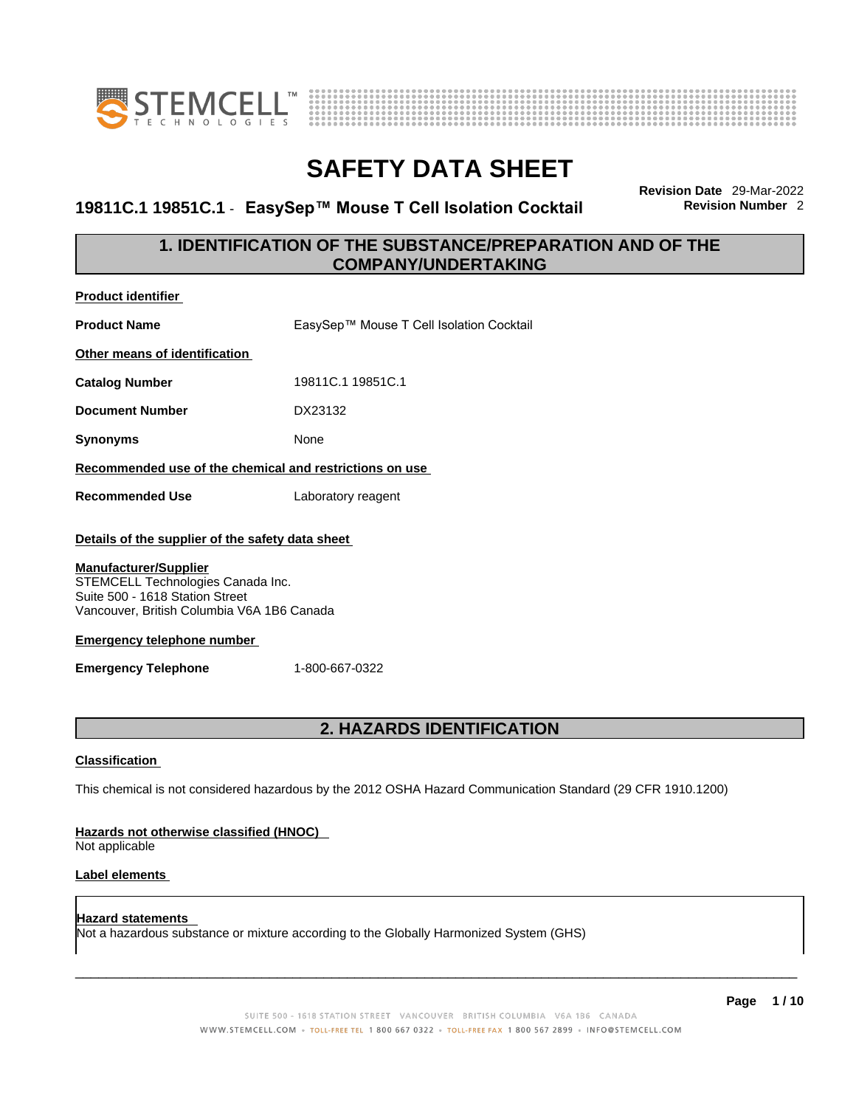

**Product identifier**



# **SAFETY DATA SHEET**

### **19811C.1 19851C.1** - **EasySep™ Mouse T Cell Isolation Cocktail Revision Number** 2

**Revision Date** 29-Mar-2022

### **1. IDENTIFICATION OF THE SUBSTANCE/PREPARATION AND OF THE COMPANY/UNDERTAKING**

| <b>Product Name</b>                                                                                                                                                                                                                                                       | EasySep™ Mouse T Cell Isolation Cocktail |
|---------------------------------------------------------------------------------------------------------------------------------------------------------------------------------------------------------------------------------------------------------------------------|------------------------------------------|
| Other means of identification                                                                                                                                                                                                                                             |                                          |
| <b>Catalog Number</b>                                                                                                                                                                                                                                                     | 19811C.1 19851C.1                        |
| <b>Document Number</b>                                                                                                                                                                                                                                                    | DX23132                                  |
| Synonyms                                                                                                                                                                                                                                                                  | None                                     |
| Recommended use of the chemical and restrictions on use                                                                                                                                                                                                                   |                                          |
| <b>Recommended Use</b>                                                                                                                                                                                                                                                    | Laboratory reagent                       |
| Details of the supplier of the safety data sheet<br><b>Manufacturer/Supplier</b><br>STEMCELL Technologies Canada Inc.<br>Suite 500 - 1618 Station Street<br>Vancouver, British Columbia V6A 1B6 Canada<br><b>Emergency telephone number</b><br><b>Emergency Telephone</b> | 1-800-667-0322                           |
|                                                                                                                                                                                                                                                                           | <b>2. HAZARDS IDENTIFICATION</b>         |

### **Classification**

This chemical is not considered hazardous by the 2012 OSHA Hazard Communication Standard (29 CFR 1910.1200)

### **Hazards not otherwise classified (HNOC)**

Not applicable

### **Label elements**

**Hazard statements**  Not a hazardous substance or mixture according to the Globally Harmonized System (GHS)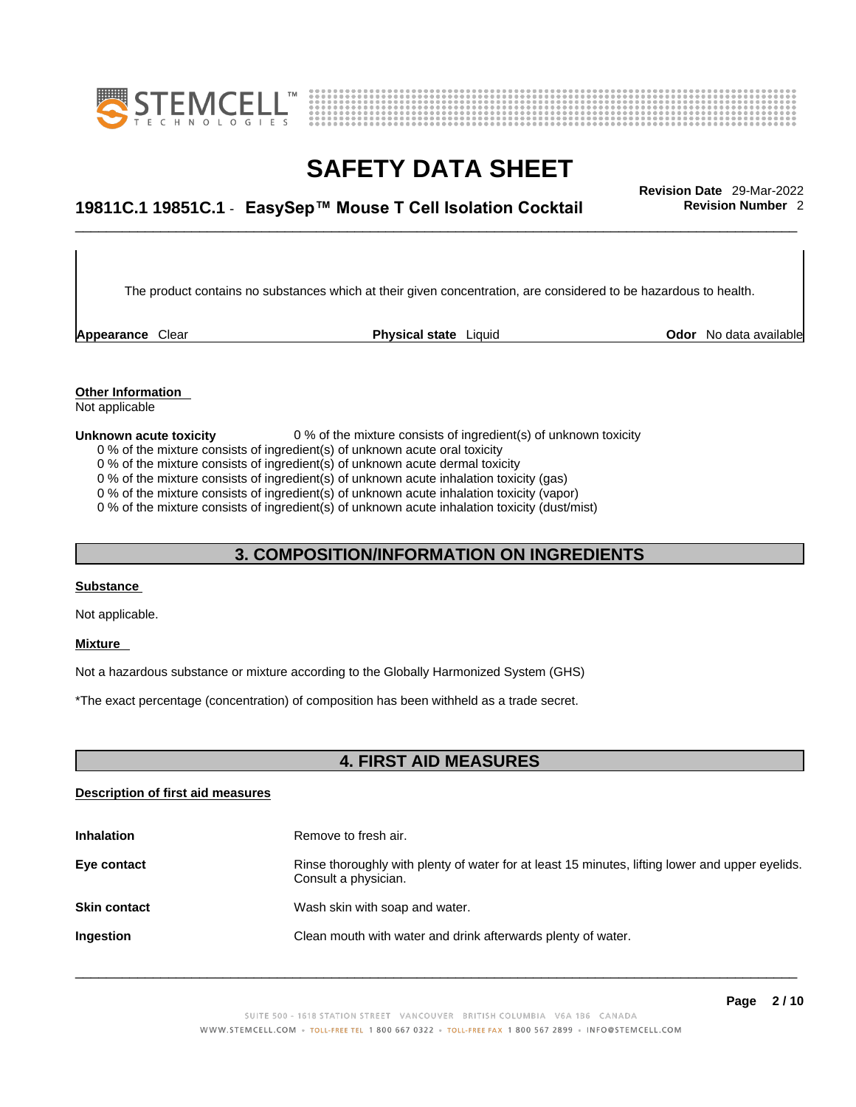



# \_\_\_\_\_\_\_\_\_\_\_\_\_\_\_\_\_\_\_\_\_\_\_\_\_\_\_\_\_\_\_\_\_\_\_\_\_\_\_\_\_\_\_\_\_\_\_\_\_\_\_\_\_\_\_\_\_\_\_\_\_\_\_\_\_\_\_\_\_\_\_\_\_\_\_\_\_\_\_\_\_\_\_\_\_\_\_\_\_\_\_\_\_ **Revision Date** 29-Mar-2022 **19811C.1 19851C.1** - **EasySep™ Mouse T Cell Isolation Cocktail Revision Number** 2

The product contains no substances which at their given concentration, are considered to be hazardous to health.

**Appearance** Clear **Physical state** Liquid

**Odor** No data available

**Other Information**  Not applicable

#### **Unknown acute toxicity** 0 % of the mixture consists of ingredient(s) of unknown toxicity

- 0 % of the mixture consists of ingredient(s) of unknown acute oral toxicity
- 0 % of the mixture consists of ingredient(s) of unknown acute dermal toxicity
- 0 % of the mixture consists of ingredient(s) of unknown acute inhalation toxicity (gas)
- 0 % of the mixture consists of ingredient(s) of unknown acute inhalation toxicity (vapor)

0 % of the mixture consists of ingredient(s) of unknown acute inhalation toxicity (dust/mist)

### **3. COMPOSITION/INFORMATION ON INGREDIENTS**

### **Substance**

Not applicable.

#### **Mixture**

Not a hazardous substance or mixture according to the Globally Harmonized System (GHS)

\*The exact percentage (concentration) of composition has been withheld as a trade secret.

### **4. FIRST AID MEASURES**

### **Description of first aid measures**

| <b>Inhalation</b>   | Remove to fresh air.                                                                                                    |
|---------------------|-------------------------------------------------------------------------------------------------------------------------|
| Eye contact         | Rinse thoroughly with plenty of water for at least 15 minutes, lifting lower and upper eyelids.<br>Consult a physician. |
| <b>Skin contact</b> | Wash skin with soap and water.                                                                                          |
| <b>Ingestion</b>    | Clean mouth with water and drink afterwards plenty of water.                                                            |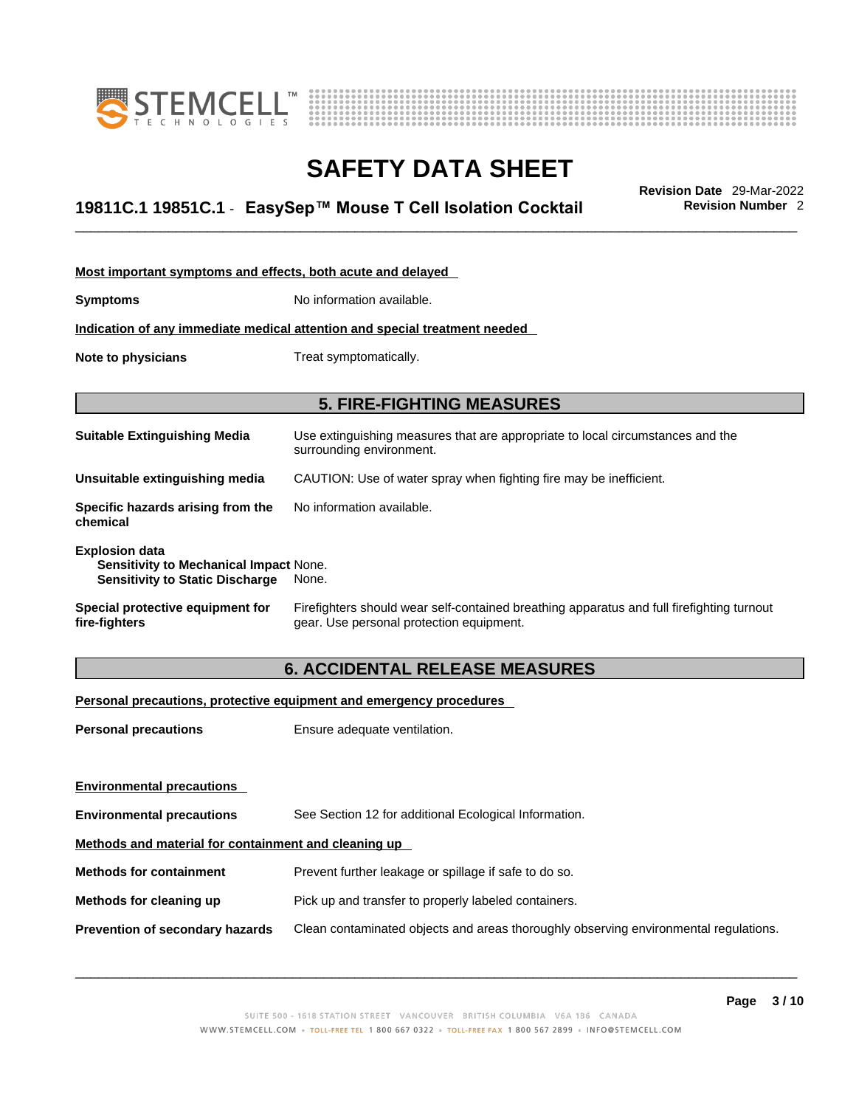



# \_\_\_\_\_\_\_\_\_\_\_\_\_\_\_\_\_\_\_\_\_\_\_\_\_\_\_\_\_\_\_\_\_\_\_\_\_\_\_\_\_\_\_\_\_\_\_\_\_\_\_\_\_\_\_\_\_\_\_\_\_\_\_\_\_\_\_\_\_\_\_\_\_\_\_\_\_\_\_\_\_\_\_\_\_\_\_\_\_\_\_\_\_ **Revision Date** 29-Mar-2022 **19811C.1 19851C.1** - **EasySep™ Mouse T Cell Isolation Cocktail Revision Number** 2

| Most important symptoms and effects, both acute and delayed                                                      |                                                                                                                                       |  |
|------------------------------------------------------------------------------------------------------------------|---------------------------------------------------------------------------------------------------------------------------------------|--|
| <b>Symptoms</b>                                                                                                  | No information available.                                                                                                             |  |
|                                                                                                                  | <u>Indication of any immediate medical attention and special treatment needed</u>                                                     |  |
| Note to physicians                                                                                               | Treat symptomatically.                                                                                                                |  |
| <b>5. FIRE-FIGHTING MEASURES</b>                                                                                 |                                                                                                                                       |  |
| <b>Suitable Extinguishing Media</b>                                                                              | Use extinguishing measures that are appropriate to local circumstances and the<br>surrounding environment.                            |  |
| Unsuitable extinguishing media                                                                                   | CAUTION: Use of water spray when fighting fire may be inefficient.                                                                    |  |
| Specific hazards arising from the<br>chemical                                                                    | No information available.                                                                                                             |  |
| <b>Explosion data</b><br><b>Sensitivity to Mechanical Impact None.</b><br><b>Sensitivity to Static Discharge</b> | None.                                                                                                                                 |  |
| Special protective equipment for<br>fire-fighters                                                                | Firefighters should wear self-contained breathing apparatus and full firefighting turnout<br>gear. Use personal protection equipment. |  |

### **6. ACCIDENTAL RELEASE MEASURES**

### **Personal precautions, protective equipment and emergency procedures**

| <b>Personal precautions</b>                          | Ensure adequate ventilation.                                                         |
|------------------------------------------------------|--------------------------------------------------------------------------------------|
|                                                      |                                                                                      |
|                                                      |                                                                                      |
| <b>Environmental precautions</b>                     | See Section 12 for additional Ecological Information.                                |
| Methods and material for containment and cleaning up |                                                                                      |
| <b>Methods for containment</b>                       | Prevent further leakage or spillage if safe to do so.                                |
| Methods for cleaning up                              | Pick up and transfer to properly labeled containers.                                 |
| Prevention of secondary hazards                      | Clean contaminated objects and areas thoroughly observing environmental regulations. |
| <b>Environmental precautions</b>                     |                                                                                      |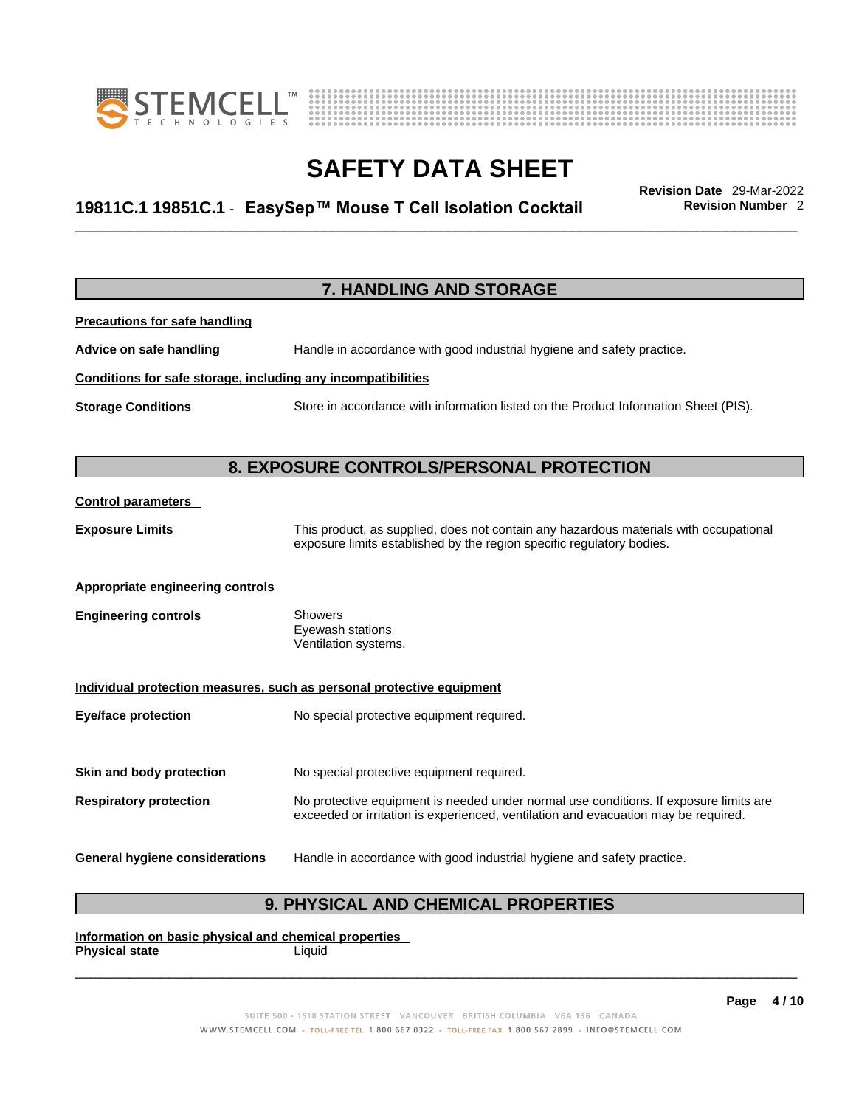



# \_\_\_\_\_\_\_\_\_\_\_\_\_\_\_\_\_\_\_\_\_\_\_\_\_\_\_\_\_\_\_\_\_\_\_\_\_\_\_\_\_\_\_\_\_\_\_\_\_\_\_\_\_\_\_\_\_\_\_\_\_\_\_\_\_\_\_\_\_\_\_\_\_\_\_\_\_\_\_\_\_\_\_\_\_\_\_\_\_\_\_\_\_ **Revision Date** 29-Mar-2022 **19811C.1 19851C.1** - **EasySep™ Mouse T Cell Isolation Cocktail Revision Number** 2

|                                                              | 7. HANDLING AND STORAGE                                                                                                                                                     |
|--------------------------------------------------------------|-----------------------------------------------------------------------------------------------------------------------------------------------------------------------------|
| <b>Precautions for safe handling</b>                         |                                                                                                                                                                             |
| Advice on safe handling                                      | Handle in accordance with good industrial hygiene and safety practice.                                                                                                      |
| Conditions for safe storage, including any incompatibilities |                                                                                                                                                                             |
| <b>Storage Conditions</b>                                    | Store in accordance with information listed on the Product Information Sheet (PIS).                                                                                         |
|                                                              |                                                                                                                                                                             |
|                                                              | 8. EXPOSURE CONTROLS/PERSONAL PROTECTION                                                                                                                                    |
| <b>Control parameters</b>                                    |                                                                                                                                                                             |
| <b>Exposure Limits</b>                                       | This product, as supplied, does not contain any hazardous materials with occupational<br>exposure limits established by the region specific regulatory bodies.              |
| <b>Appropriate engineering controls</b>                      |                                                                                                                                                                             |
| <b>Engineering controls</b>                                  | Showers<br>Eyewash stations<br>Ventilation systems.                                                                                                                         |
|                                                              | Individual protection measures, such as personal protective equipment                                                                                                       |
| <b>Eye/face protection</b>                                   | No special protective equipment required.                                                                                                                                   |
| Skin and body protection                                     | No special protective equipment required.                                                                                                                                   |
| <b>Respiratory protection</b>                                | No protective equipment is needed under normal use conditions. If exposure limits are<br>exceeded or irritation is experienced, ventilation and evacuation may be required. |
| <b>General hygiene considerations</b>                        | Handle in accordance with good industrial hygiene and safety practice.                                                                                                      |

### **9. PHYSICAL AND CHEMICAL PROPERTIES**

**Information on basic physical and chemical properties Physical state** Liquid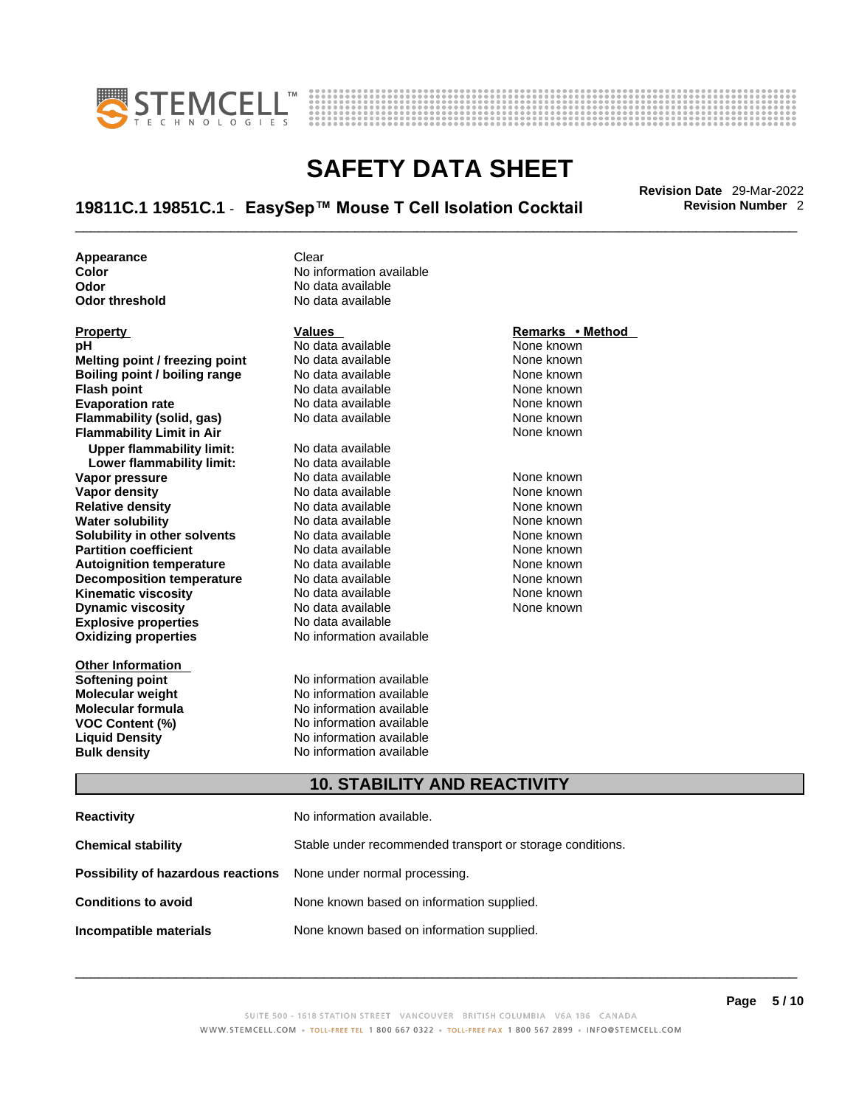



# \_\_\_\_\_\_\_\_\_\_\_\_\_\_\_\_\_\_\_\_\_\_\_\_\_\_\_\_\_\_\_\_\_\_\_\_\_\_\_\_\_\_\_\_\_\_\_\_\_\_\_\_\_\_\_\_\_\_\_\_\_\_\_\_\_\_\_\_\_\_\_\_\_\_\_\_\_\_\_\_\_\_\_\_\_\_\_\_\_\_\_\_\_ **Revision Date** 29-Mar-2022 **19811C.1 19851C.1** - **EasySep™ Mouse T Cell Isolation Cocktail Revision Number** 2

**Appearance Clear** 

**Explosive properties**<br> **Oxidizing properties**<br> **Oxidizing properties**<br> **No information available Oxidizing properties Property Remarks • Remarks • Remarks • Remarks • Remarks • Remarks • Remarks • Method pH**<br> **No data available** Mome known<br> **No data available** Mome known<br>
None known **Melting point / freezing point** No data available<br> **Boiling point / boiling range** No data available **Boiling point / boiling range** No data available **None known**<br>
No data available **None known**<br>
None known **Evaporation rate Cone Cone Access Mone Cone Cone Cone Access Provident Cone Cone Access Provident Cone known**<br> **Flammability (solid. gas)** No data available Cone Cone Known **Flammability (solid, gas)** No data available None known **Flammability Limit in Air None known None known Upper flammability limit:** No data available **Lower flammability limit:** No data available **Vapor pressure** 1980 in the Modata available 1980 in the known None known<br> **Vapor density** 1980 in the None Known None known None known **Vapor density** No data available None known **Relative density Water solubility** No data available None known **Solubility in other solvents** No data available None known **Partition coefficient**<br> **Autoignition temperature**<br>
No data available None Known<br>
None known **Autoignition temperature** Mo data available Mone known<br> **Decomposition temperature** No data available None known **Decomposition temperature** No data available<br> **Kinematic viscosity** No data available **Kinematic viscosity No data available None known**<br> **Discussible No data available None known**<br>
None known **Dynamic viscosity No data available None known** 

**Other Information** 

**Color Color Color Color Color Color Color Color Color Color Color Color Color Color Color Color Color Color Color Color Color Color Color Color Color Color Color Color Odor No data available**<br> **Odor threshold No data available** No data available

**No data available** 

**Softening point**<br> **Molecular weight**<br> **Molecular weight**<br> **Molecular weight**<br> **Molecular weight No information available Molecular formula** No information available **VOC Content (%)**<br> **Content (%)**<br>
No information available<br>
No information available **No information available Bulk density No information available** 

### **10. STABILITY AND REACTIVITY**

| Reactivity                                                              | No information available.                                 |
|-------------------------------------------------------------------------|-----------------------------------------------------------|
| Chemical stability                                                      | Stable under recommended transport or storage conditions. |
| <b>Possibility of hazardous reactions</b> None under normal processing. |                                                           |
| <b>Conditions to avoid</b>                                              | None known based on information supplied.                 |
| Incompatible materials                                                  | None known based on information supplied.                 |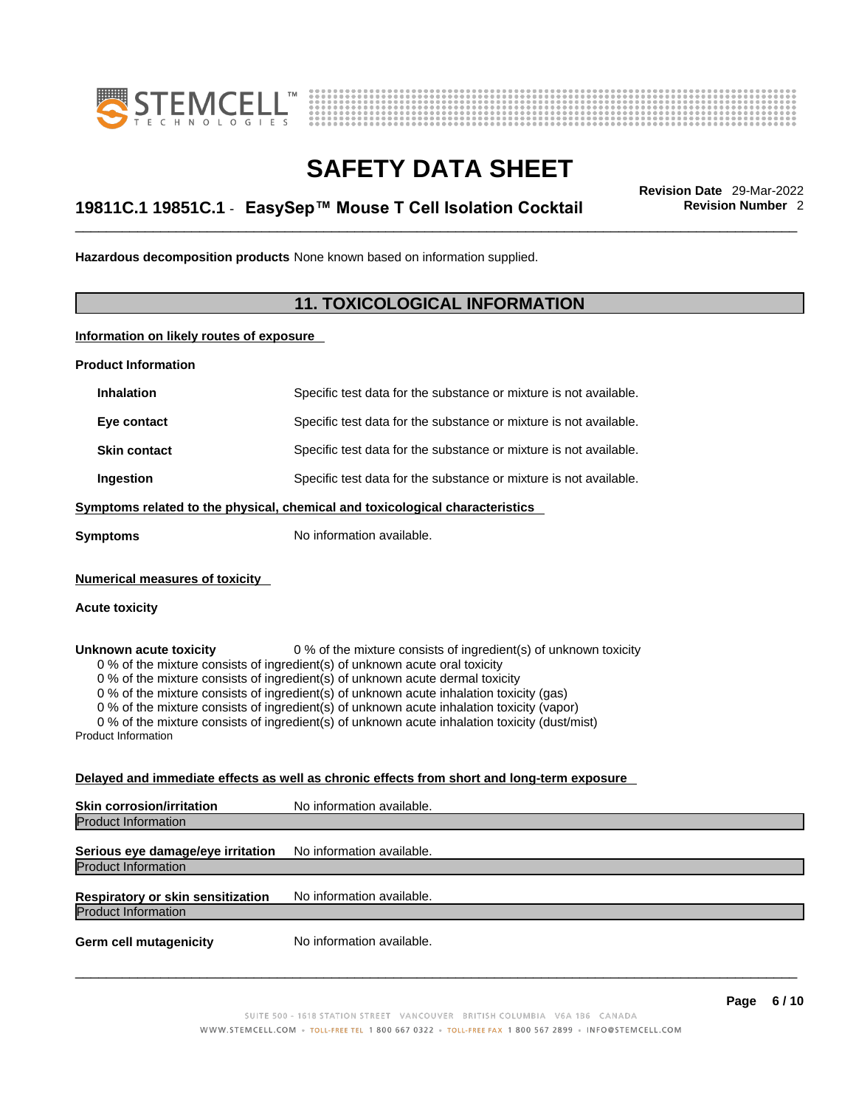



# \_\_\_\_\_\_\_\_\_\_\_\_\_\_\_\_\_\_\_\_\_\_\_\_\_\_\_\_\_\_\_\_\_\_\_\_\_\_\_\_\_\_\_\_\_\_\_\_\_\_\_\_\_\_\_\_\_\_\_\_\_\_\_\_\_\_\_\_\_\_\_\_\_\_\_\_\_\_\_\_\_\_\_\_\_\_\_\_\_\_\_\_\_ **Revision Date** 29-Mar-2022 **19811C.1 19851C.1** - **EasySep™ Mouse T Cell Isolation Cocktail Revision Number** 2

**Hazardous decomposition products** None known based on information supplied.

### **11. TOXICOLOGICAL INFORMATION**

**Information on likely routes of exposure**

**Product Information**

| <b>Inhalation</b>                                       | Specific test data for the substance or mixture is not available.            |
|---------------------------------------------------------|------------------------------------------------------------------------------|
| Eye contact                                             | Specific test data for the substance or mixture is not available.            |
| <b>Skin contact</b>                                     | Specific test data for the substance or mixture is not available.            |
| Ingestion                                               | Specific test data for the substance or mixture is not available.            |
|                                                         | Symptoms related to the physical, chemical and toxicological characteristics |
| Symptoms                                                | No information available.                                                    |
| <b>Numerical measures of toxicity</b><br>Acute toxicity |                                                                              |

**Unknown acute toxicity** 0 % of the mixture consists of ingredient(s) of unknown toxicity 0 % of the mixture consists of ingredient(s) of unknown acute oral toxicity

0 % of the mixture consists of ingredient(s) of unknown acute dermal toxicity

 $0$  % of the mixture consists of ingredient(s) of unknown acute inhalation toxicity (gas)

0 % of the mixture consists of ingredient(s) of unknown acute inhalation toxicity (vapor)

0 % of the mixture consists of ingredient(s) of unknown acute inhalation toxicity (dust/mist)

Product Information

### **Delayed and immediate effects as well as chronic effects from short and long-term exposure**

| <b>Skin corrosion/irritation</b>  | No information available. |
|-----------------------------------|---------------------------|
| <b>Product Information</b>        |                           |
| Serious eye damage/eye irritation | No information available. |
| <b>Product Information</b>        |                           |
| Respiratory or skin sensitization | No information available. |
| <b>Product Information</b>        |                           |
| <b>Germ cell mutagenicity</b>     | No information available. |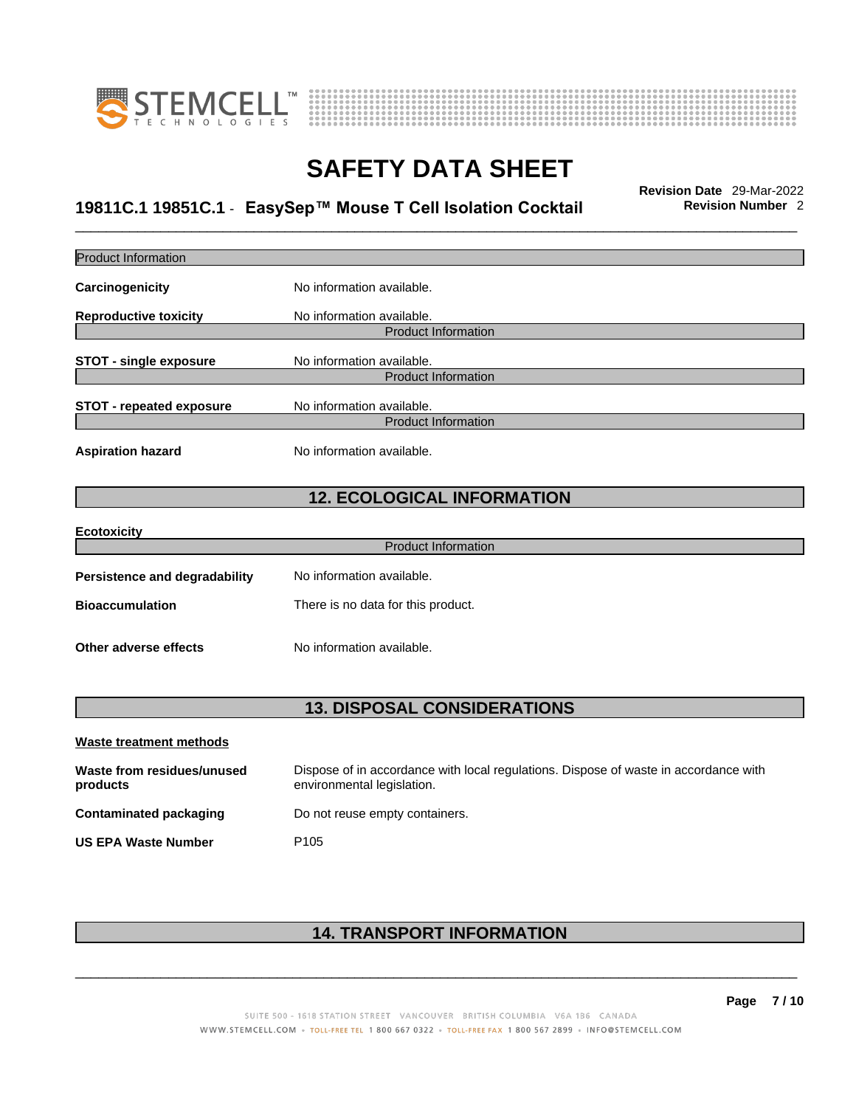



# \_\_\_\_\_\_\_\_\_\_\_\_\_\_\_\_\_\_\_\_\_\_\_\_\_\_\_\_\_\_\_\_\_\_\_\_\_\_\_\_\_\_\_\_\_\_\_\_\_\_\_\_\_\_\_\_\_\_\_\_\_\_\_\_\_\_\_\_\_\_\_\_\_\_\_\_\_\_\_\_\_\_\_\_\_\_\_\_\_\_\_\_\_ **Revision Date** 29-Mar-2022 **19811C.1 19851C.1** - **EasySep™ Mouse T Cell Isolation Cocktail Revision Number** 2

| <b>Product Information</b>             |                                                                                                                    |
|----------------------------------------|--------------------------------------------------------------------------------------------------------------------|
| Carcinogenicity                        | No information available.                                                                                          |
| <b>Reproductive toxicity</b>           | No information available.                                                                                          |
|                                        | <b>Product Information</b>                                                                                         |
| <b>STOT - single exposure</b>          | No information available.                                                                                          |
|                                        | <b>Product Information</b>                                                                                         |
| <b>STOT - repeated exposure</b>        | No information available.                                                                                          |
|                                        | <b>Product Information</b>                                                                                         |
| <b>Aspiration hazard</b>               | No information available.                                                                                          |
|                                        | <b>12. ECOLOGICAL INFORMATION</b>                                                                                  |
| <b>Ecotoxicity</b>                     |                                                                                                                    |
|                                        | <b>Product Information</b>                                                                                         |
| <b>Persistence and degradability</b>   | No information available.                                                                                          |
| <b>Bioaccumulation</b>                 | There is no data for this product.                                                                                 |
| Other adverse effects                  | No information available.                                                                                          |
|                                        |                                                                                                                    |
|                                        | <b>13. DISPOSAL CONSIDERATIONS</b>                                                                                 |
| <b>Waste treatment methods</b>         |                                                                                                                    |
| Waste from residues/unused<br>products | Dispose of in accordance with local regulations. Dispose of waste in accordance with<br>environmental legislation. |
| <b>Contaminated packaging</b>          | Do not reuse empty containers.                                                                                     |
| <b>US EPA Waste Number</b>             | P <sub>105</sub>                                                                                                   |
|                                        |                                                                                                                    |
|                                        |                                                                                                                    |

### **14. TRANSPORT INFORMATION**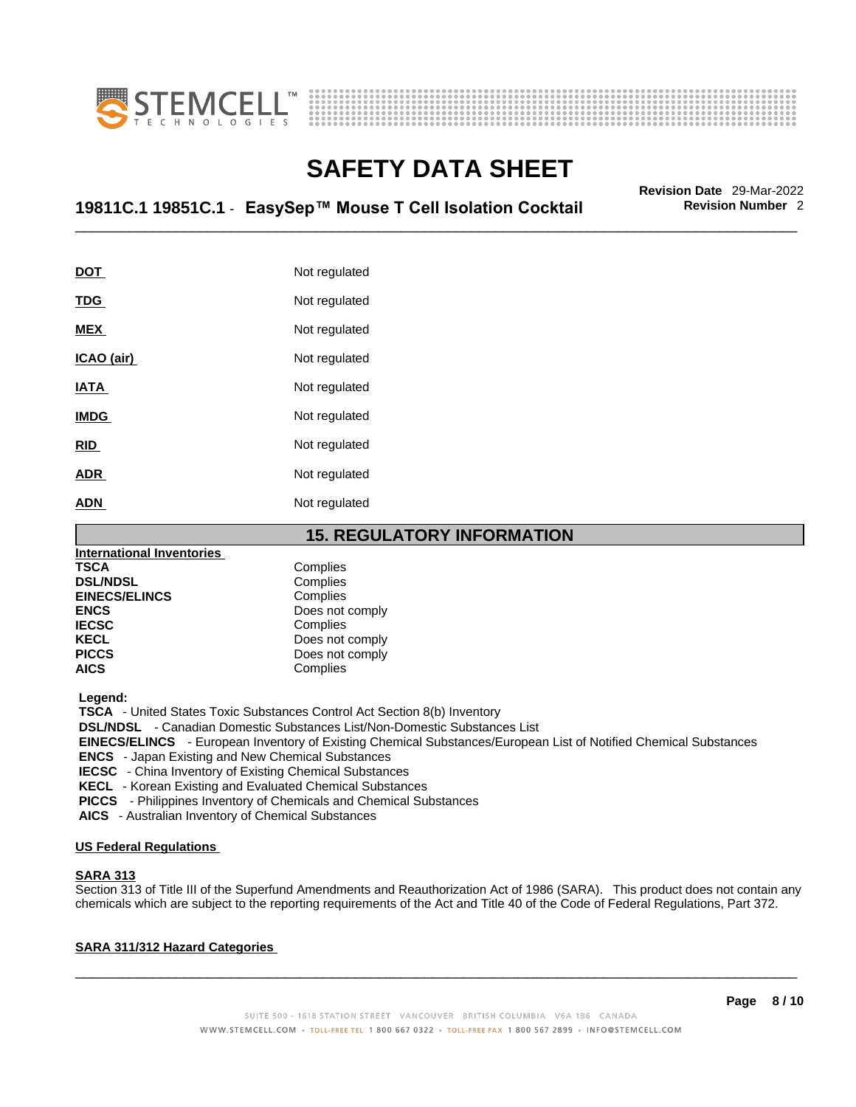



# \_\_\_\_\_\_\_\_\_\_\_\_\_\_\_\_\_\_\_\_\_\_\_\_\_\_\_\_\_\_\_\_\_\_\_\_\_\_\_\_\_\_\_\_\_\_\_\_\_\_\_\_\_\_\_\_\_\_\_\_\_\_\_\_\_\_\_\_\_\_\_\_\_\_\_\_\_\_\_\_\_\_\_\_\_\_\_\_\_\_\_\_\_ **Revision Date** 29-Mar-2022 **19811C.1 19851C.1** - **EasySep™ Mouse T Cell Isolation Cocktail Revision Number** 2

| DOT         | Not regulated |
|-------------|---------------|
| <u>TDG</u>  | Not regulated |
| <b>MEX</b>  | Not regulated |
| ICAO (air)  | Not regulated |
| IATA        | Not regulated |
| <b>IMDG</b> | Not regulated |
| <b>RID</b>  | Not regulated |
| <b>ADR</b>  | Not regulated |
| ADN         | Not regulated |

**15. REGULATORY INFORMATION International Inventories TSCA** Complies<br> **DSL/NDSL** Complies **DSL/NDSL** Complies **EINECS/ELINCS**<br>ENCS **ENCS** Does not comply<br> **IECSC** Complies **IECSC** Complies<br> **IECSC** Complies<br>
Does not **KECL CONSERVANCE CONSERVANCE CONSERVANCE CONSERVANCE CONSERVANCE CONSERVANCE CONSERVANCE CONSERVANCE CONSERVANCE CONSERVANCE CONSERVANCE CONSERVANCE CONSERVANCE CONSERVANCE CONSERVANCE CONSERVANCE CONSERVANCE CONSERVANCE PICCS** Does not comply<br>**AICS** Complies **AICS** Complies

 **Legend:** 

 **TSCA** - United States Toxic Substances Control Act Section 8(b) Inventory

 **DSL/NDSL** - Canadian Domestic Substances List/Non-Domestic Substances List

 **EINECS/ELINCS** - European Inventory of Existing Chemical Substances/European List of Notified Chemical Substances

 **ENCS** - Japan Existing and New Chemical Substances

 **IECSC** - China Inventory of Existing Chemical Substances

 **KECL** - Korean Existing and Evaluated Chemical Substances

 **PICCS** - Philippines Inventory of Chemicals and Chemical Substances

 **AICS** - Australian Inventory of Chemical Substances

### **US Federal Regulations**

#### **SARA 313**

Section 313 of Title III of the Superfund Amendments and Reauthorization Act of 1986 (SARA). This product does not contain any chemicals which are subject to the reporting requirements of the Act and Title 40 of the Code of Federal Regulations, Part 372.

### **SARA 311/312 Hazard Categories**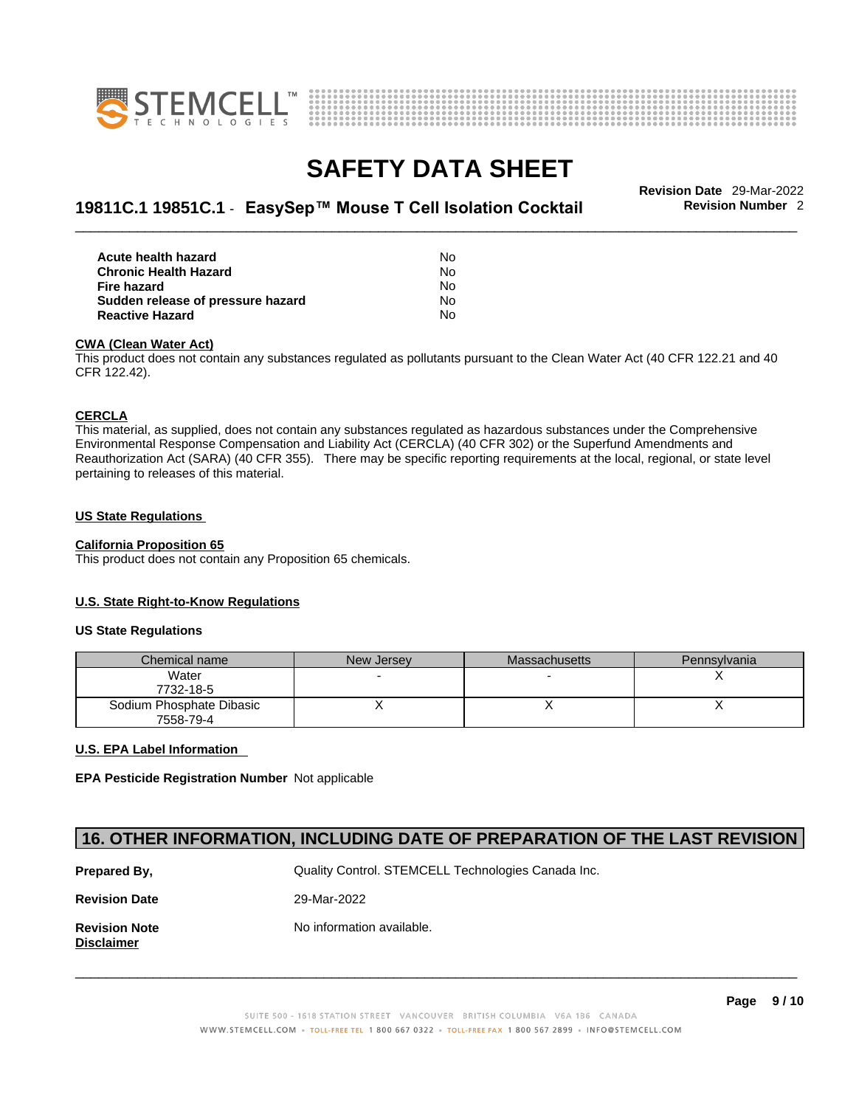



# \_\_\_\_\_\_\_\_\_\_\_\_\_\_\_\_\_\_\_\_\_\_\_\_\_\_\_\_\_\_\_\_\_\_\_\_\_\_\_\_\_\_\_\_\_\_\_\_\_\_\_\_\_\_\_\_\_\_\_\_\_\_\_\_\_\_\_\_\_\_\_\_\_\_\_\_\_\_\_\_\_\_\_\_\_\_\_\_\_\_\_\_\_ **Revision Date** 29-Mar-2022 **19811C.1 19851C.1** - **EasySep™ Mouse T Cell Isolation Cocktail Revision Number** 2

| Acute health hazard               | N٥        |
|-----------------------------------|-----------|
| <b>Chronic Health Hazard</b>      | N٥        |
| Fire hazard                       | No.       |
| Sudden release of pressure hazard | <b>No</b> |
| <b>Reactive Hazard</b>            | N٥        |

#### **CWA (Clean WaterAct)**

This product does not contain any substances regulated as pollutants pursuant to the Clean Water Act (40 CFR 122.21 and 40 CFR 122.42).

### **CERCLA**

This material, as supplied, does not contain any substances regulated as hazardous substances under the Comprehensive Environmental Response Compensation and Liability Act (CERCLA) (40 CFR 302) or the Superfund Amendments and Reauthorization Act (SARA) (40 CFR 355). There may be specific reporting requirements at the local, regional, or state level pertaining to releases of this material.

### **US State Regulations**

### **California Proposition 65**

This product does not contain any Proposition 65 chemicals.

#### **U.S. State Right-to-Know Regulations**

### **US State Regulations**

| Chemical name            | New Jersey | <b>Massachusetts</b> | Pennsylvania |
|--------------------------|------------|----------------------|--------------|
| Water                    |            |                      |              |
| 7732-18-5                |            |                      |              |
| Sodium Phosphate Dibasic |            |                      |              |
| 7558-79-4                |            |                      |              |

#### **U.S. EPA Label Information**

**EPA Pesticide Registration Number** Not applicable

### **16. OTHER INFORMATION, INCLUDING DATE OF PREPARATION OF THE LAST REVISION**

| Prepared By,                              | Quality Control. STEMCELL Technologies Canada Inc. |
|-------------------------------------------|----------------------------------------------------|
| <b>Revision Date</b>                      | 29-Mar-2022                                        |
| <b>Revision Note</b><br><b>Disclaimer</b> | No information available.                          |